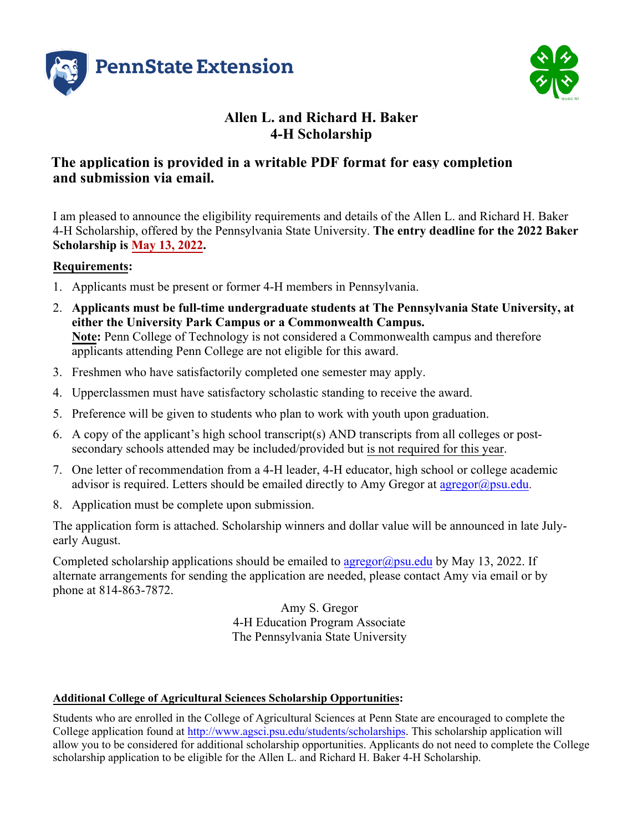



### **Allen L. and Richard H. Baker 4-H Scholarship**

#### **The application is provided in a writable PDF format for easy completion and submission via email.**

I am pleased to announce the eligibility requirements and details of the Allen L. and Richard H. Baker 4-H Scholarship, offered by the Pennsylvania State University. **The entry deadline for the 2022 Baker Scholarship is May 13, 2022.**

#### **Requirements:**

- 1. Applicants must be present or former 4-H members in Pennsylvania.
- 2. **Applicants must be full-time undergraduate students at The Pennsylvania State University, at either the University Park Campus or a Commonwealth Campus. Note:** Penn College of Technology is not considered a Commonwealth campus and therefore applicants attending Penn College are not eligible for this award.
- 3. Freshmen who have satisfactorily completed one semester may apply.
- 4. Upperclassmen must have satisfactory scholastic standing to receive the award.
- 5. Preference will be given to students who plan to work with youth upon graduation.
- 6. A copy of the applicant's high school transcript(s) AND transcripts from all colleges or postsecondary schools attended may be included/provided but is not required for this year.
- 7. One letter of recommendation from a 4-H leader, 4-H educator, high school or college academic advisor is required. Letters should be emailed directly to Amy Gregor at  $\frac{argregor(\partial psu.edu)}{argreg(\partial qsu.edu)}$ .
- 8. Application must be complete upon submission.

The application form is attached. Scholarship winners and dollar value will be announced in late Julyearly August.

Completed scholarship applications should be emailed to  $\frac{\arg\exp(a)}{\exp(a)}$  by May 13, 2022. If alternate arrangements for sending the application are needed, please contact Amy via email or by phone at 814-863-7872.

> Amy S. Gregor 4-H Education Program Associate The Pennsylvania State University

#### **Additional College of Agricultural Sciences Scholarship Opportunities:**

Students who are enrolled in the College of Agricultural Sciences at Penn State are encouraged to complete the College application found at [http://www.agsci.psu.edu/students/scholarships.](http://www.agsci.psu.edu/students/scholarships) This scholarship application will allow you to be considered for additional scholarship opportunities. Applicants do not need to complete the College scholarship application to be eligible for the Allen L. and Richard H. Baker 4-H Scholarship.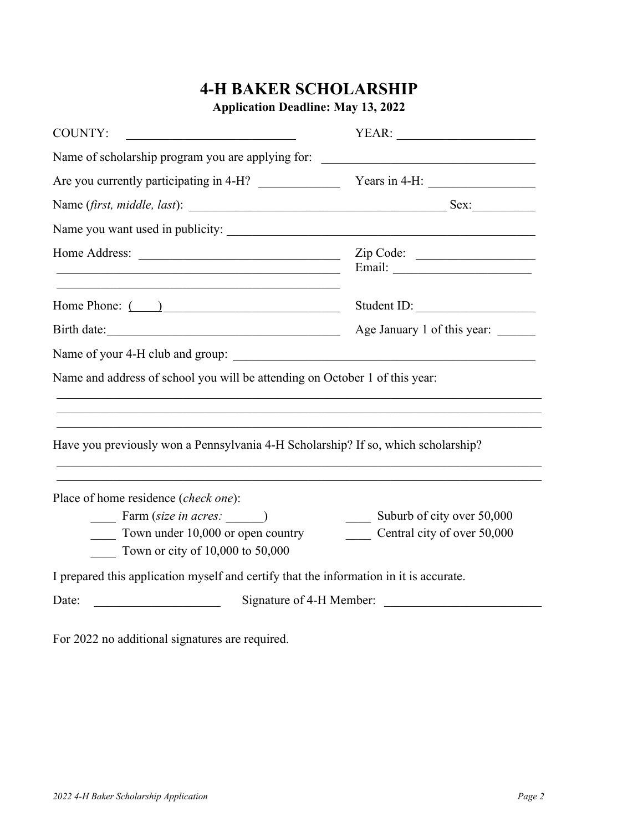# **4-H BAKER SCHOLARSHIP**

**Application Deadline: May 13, 2022**

| <b>COUNTY:</b><br><u> 1980 - Johann Barbara, martin amerikan basal dan berasal dalam basal dalam basal dalam basal dalam basal dala</u> |                                                  |  |  |
|-----------------------------------------------------------------------------------------------------------------------------------------|--------------------------------------------------|--|--|
| Name of scholarship program you are applying for:                                                                                       | <u> 1980 - Jan Stein, amerikansk politiker (</u> |  |  |
|                                                                                                                                         |                                                  |  |  |
|                                                                                                                                         |                                                  |  |  |
|                                                                                                                                         |                                                  |  |  |
| <u> 1989 - Johann Stoff, deutscher Stoff, der Stoff, der Stoff, der Stoff, der Stoff, der Stoff, der Stoff, der S</u>                   | Zip Code:                                        |  |  |
| Home Phone: ( )                                                                                                                         | Student ID:                                      |  |  |
| Birth date:                                                                                                                             | Age January 1 of this year:                      |  |  |
|                                                                                                                                         |                                                  |  |  |
| Name and address of school you will be attending on October 1 of this year:                                                             |                                                  |  |  |
| Have you previously won a Pennsylvania 4-H Scholarship? If so, which scholarship?                                                       |                                                  |  |  |
| Place of home residence (check one):                                                                                                    |                                                  |  |  |
| Farm (size in acres: )                                                                                                                  | Suburb of city over 50,000                       |  |  |
| Town under 10,000 or open country<br>Town or city of 10,000 to 50,000                                                                   | Central city of over 50,000                      |  |  |
| I prepared this application myself and certify that the information in it is accurate.                                                  |                                                  |  |  |
| Date:                                                                                                                                   | Signature of 4-H Member:                         |  |  |

For 2022 no additional signatures are required.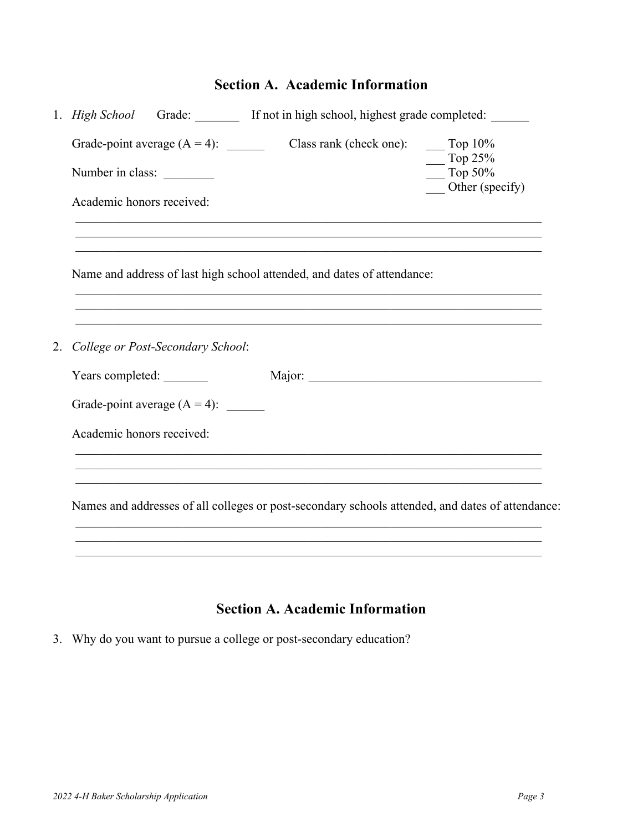## **Section A. Academic Information**

|  |                                                                                                | $\frac{10\%}{10\%}$<br>Top $25%$                                                                                                                                                                                                                                                                                                                                                                                                                             |
|--|------------------------------------------------------------------------------------------------|--------------------------------------------------------------------------------------------------------------------------------------------------------------------------------------------------------------------------------------------------------------------------------------------------------------------------------------------------------------------------------------------------------------------------------------------------------------|
|  |                                                                                                | $\frac{1}{2}$ Top 50%<br>Other (specify)                                                                                                                                                                                                                                                                                                                                                                                                                     |
|  |                                                                                                |                                                                                                                                                                                                                                                                                                                                                                                                                                                              |
|  |                                                                                                |                                                                                                                                                                                                                                                                                                                                                                                                                                                              |
|  |                                                                                                |                                                                                                                                                                                                                                                                                                                                                                                                                                                              |
|  |                                                                                                |                                                                                                                                                                                                                                                                                                                                                                                                                                                              |
|  | Major:                                                                                         |                                                                                                                                                                                                                                                                                                                                                                                                                                                              |
|  |                                                                                                |                                                                                                                                                                                                                                                                                                                                                                                                                                                              |
|  |                                                                                                |                                                                                                                                                                                                                                                                                                                                                                                                                                                              |
|  |                                                                                                |                                                                                                                                                                                                                                                                                                                                                                                                                                                              |
|  |                                                                                                |                                                                                                                                                                                                                                                                                                                                                                                                                                                              |
|  | Number in class:<br>Academic honors received:<br>Years completed:<br>Academic honors received: | 1. High School Grade: If not in high school, highest grade completed: _____<br>Grade-point average $(A = 4)$ : Class rank (check one):<br><u> 1989 - Johann Stoff, amerikansk politiker (d. 1989)</u><br>Name and address of last high school attended, and dates of attendance:<br>College or Post-Secondary School:<br>Grade-point average $(A = 4)$ :<br>Names and addresses of all colleges or post-secondary schools attended, and dates of attendance: |

### **Section A. Academic Information**

3. Why do you want to pursue a college or post-secondary education?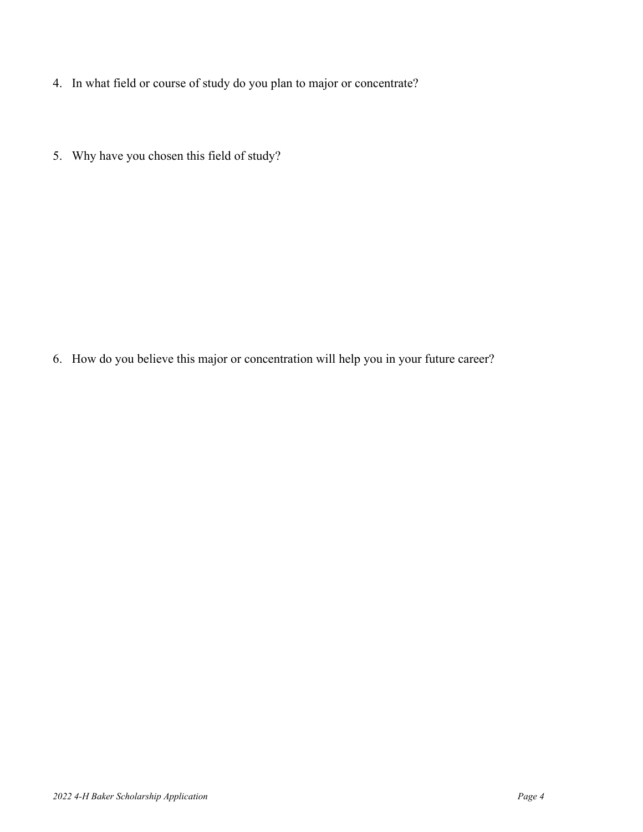- 4. In what field or course of study do you plan to major or concentrate?
- 5. Why have you chosen this field of study?

6. How do you believe this major or concentration will help you in your future career?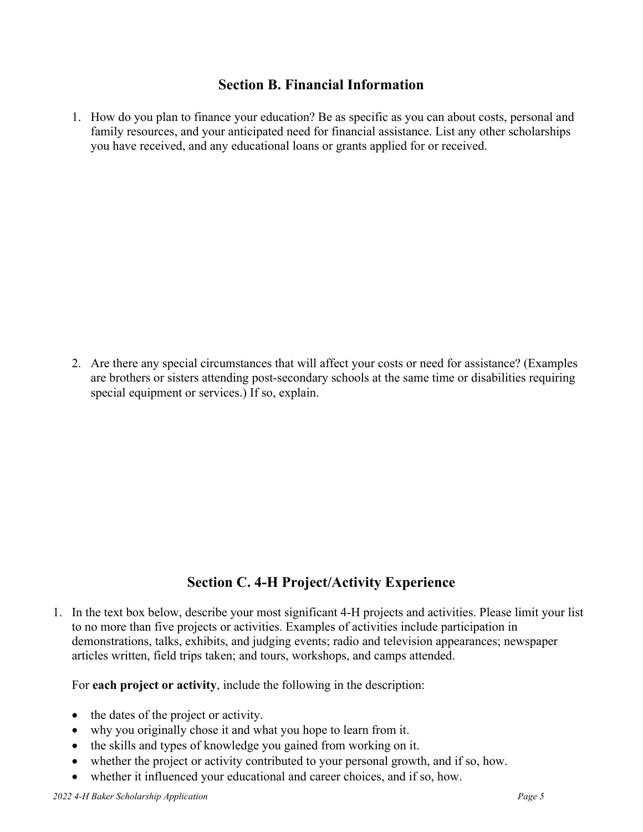#### **Section B. Financial Information**

1. How do you plan to finance your education? Be as specific as you can about costs, personal and family resources, and your anticipated need for financial assistance. List any other scholarships you have received, and any educational loans or grants applied for or received.

2. Are there any special circumstances that will affect your costs or need for assistance? (Examples are brothers or sisters attending post-secondary schools at the same time or disabilities requiring special equipment or services.) If so, explain.

### **Section C. 4-H Project/Activity Experience**

1. In the text box below, describe your most significant 4-H projects and activities. Please limit your list to no more than five projects or activities. Examples of activities include participation in demonstrations, talks, exhibits, and judging events; radio and television appearances; newspaper articles written, field trips taken; and tours, workshops, and camps attended.

For **each project or activity**, include the following in the description:

- the dates of the project or activity.
- why you originally chose it and what you hope to learn from it.
- the skills and types of knowledge you gained from working on it.
- whether the project or activity contributed to your personal growth, and if so, how.
- whether it influenced your educational and career choices, and if so, how.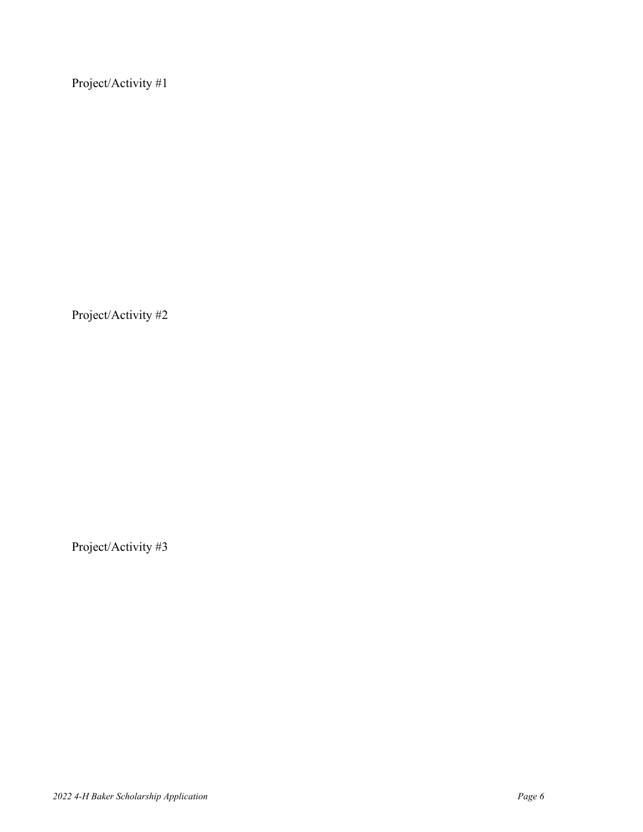Project/Activity #1

Project/Activity #2

Project/Activity #3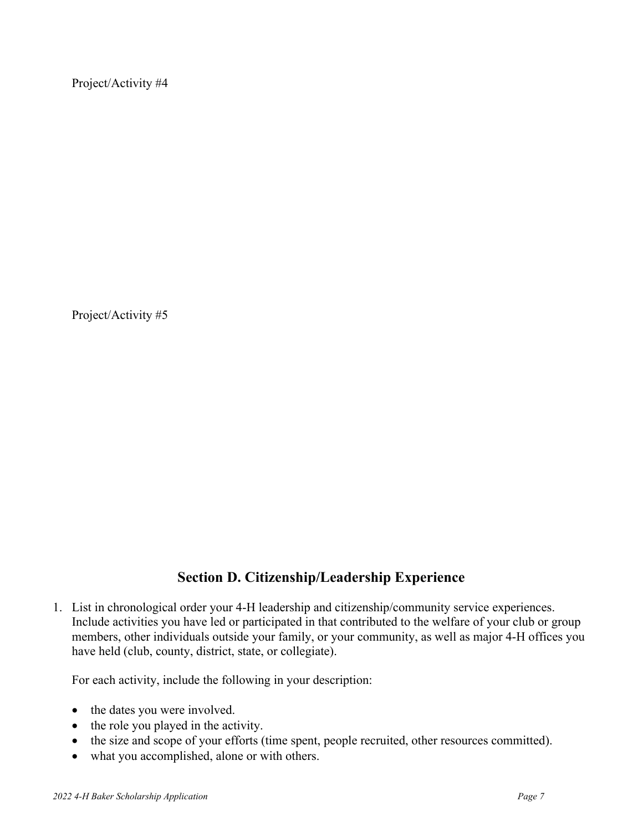Project/Activity #4

Project/Activity #5

#### **Section D. Citizenship/Leadership Experience**

1. List in chronological order your 4-H leadership and citizenship/community service experiences. Include activities you have led or participated in that contributed to the welfare of your club or group members, other individuals outside your family, or your community, as well as major 4-H offices you have held (club, county, district, state, or collegiate).

For each activity, include the following in your description:

- the dates you were involved.
- the role you played in the activity.
- the size and scope of your efforts (time spent, people recruited, other resources committed).
- what you accomplished, alone or with others.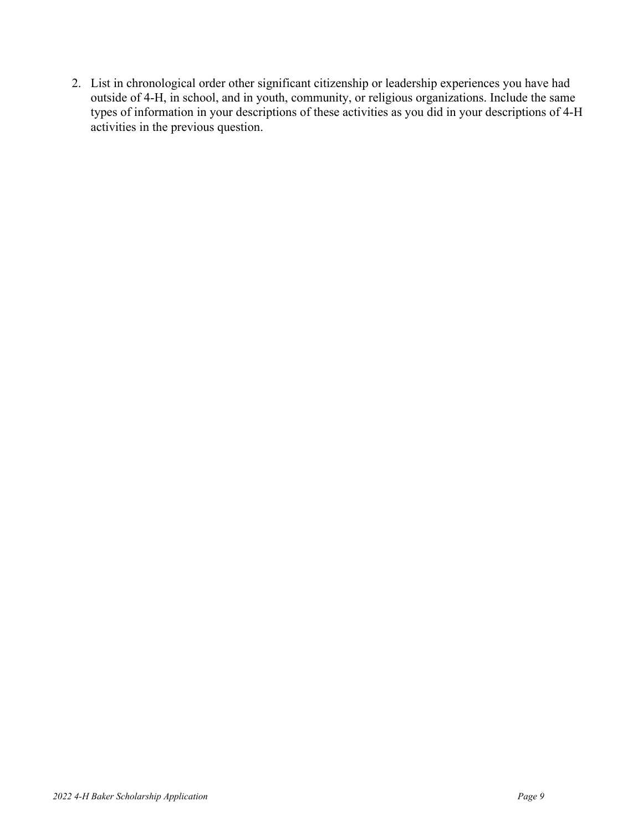2. List in chronological order other significant citizenship or leadership experiences you have had outside of 4-H, in school, and in youth, community, or religious organizations. Include the same types of information in your descriptions of these activities as you did in your descriptions of 4-H activities in the previous question.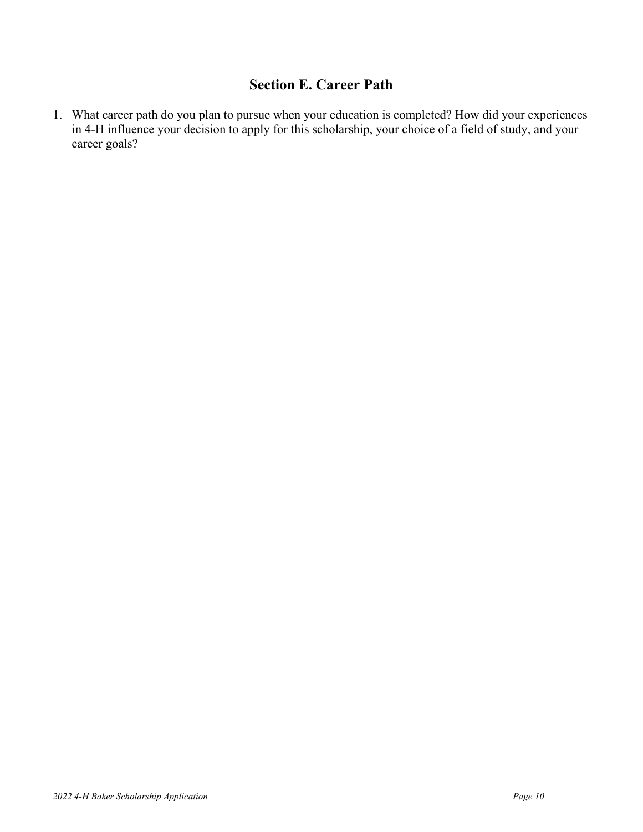### **Section E. Career Path**

1. What career path do you plan to pursue when your education is completed? How did your experiences in 4-H influence your decision to apply for this scholarship, your choice of a field of study, and your career goals?